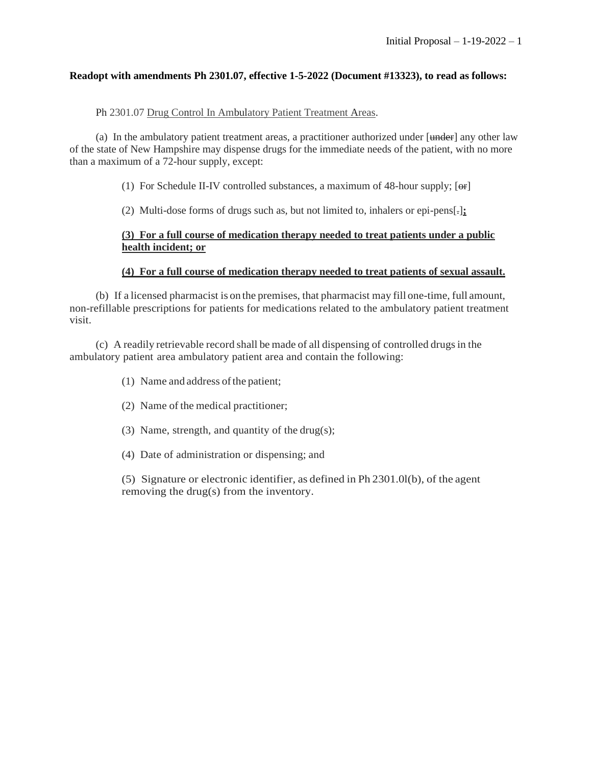## **Readopt with amendments Ph 2301.07, effective 1-5-2022 (Document #13323), to read as follows:**

## Ph 2301.07 Drug Control In Ambulatory Patient Treatment Areas.

(a) In the ambulatory patient treatment areas, a practitioner authorized under [under] any other law of the state of New Hampshire may dispense drugs for the immediate needs of the patient, with no more than a maximum of a 72-hour supply, except:

(1) For Schedule II-IV controlled substances, a maximum of 48-hour supply;  $[**or**]$ 

(2) Multi-dose forms of drugs such as, but not limited to, inhalers or epi-pens[.]**;**

## **(3) For a full course of medication therapy needed to treat patients under a public health incident; or**

#### **(4) For a full course of medication therapy needed to treat patients of sexual assault.**

(b) If a licensed pharmacist is on the premises, that pharmacist may fill one-time, full amount, non-refillable prescriptions for patients for medications related to the ambulatory patient treatment visit.

(c) A readily retrievable record shall be made of all dispensing of controlled drugsin the ambulatory patient area ambulatory patient area and contain the following:

- (1) Name and address of the patient;
- (2) Name of the medical practitioner;
- (3) Name, strength, and quantity of the drug(s);
- (4) Date of administration or dispensing; and

(5) Signature or electronic identifier, as defined in Ph 2301.0l(b), of the agent removing the drug(s) from the inventory.